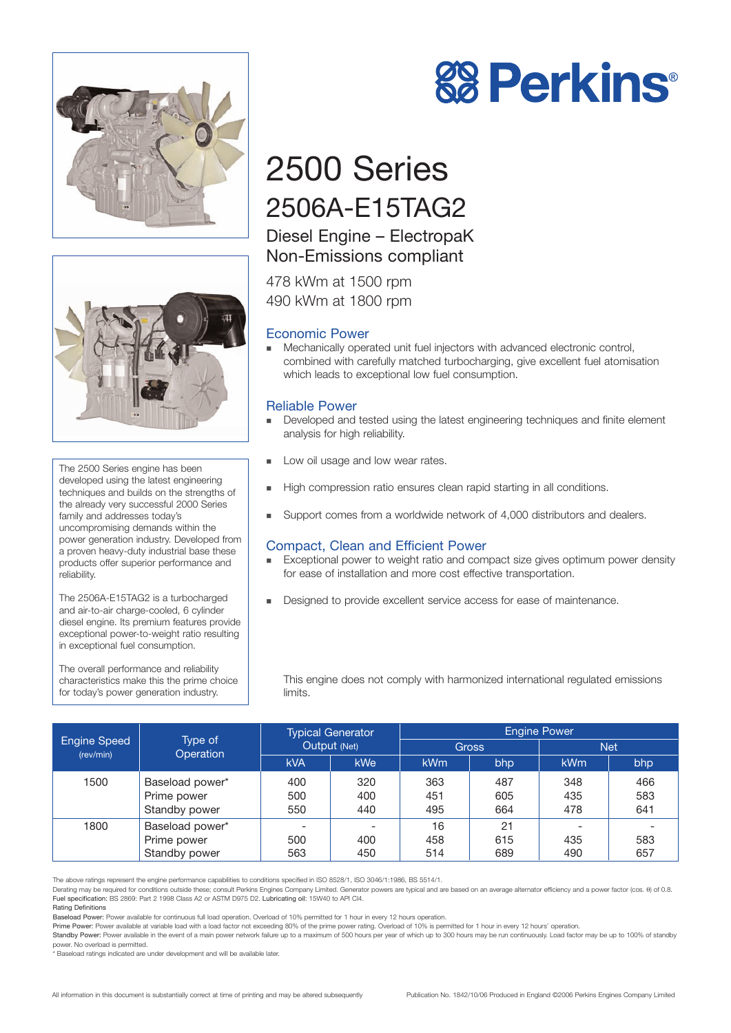



The 2500 Series engine has been developed using the latest engineering techniques and builds on the strengths of the already very successful 2000 Series family and addresses today's uncompromising demands within the power generation industry. Developed from a proven heavy-duty industrial base these products offer superior performance and reliability.

The 2506A-E15TAG2 is a turbocharged and air-to-air charge-cooled, 6 cylinder diesel engine. Its premium features provide exceptional power-to-weight ratio resulting in exceptional fuel consumption.

The overall performance and reliability characteristics make this the prime choice for today's power generation industry.



# 2500 Series 2506A-E15TAG2

## Diesel Engine – ElectropaK Non-Emissions compliant

478 kWm at 1500 rpm 490 kWm at 1800 rpm

## Economic Power

! Mechanically operated unit fuel injectors with advanced electronic control, combined with carefully matched turbocharging, give excellent fuel atomisation which leads to exceptional low fuel consumption.

## Reliable Power

- ! Developed and tested using the latest engineering techniques and finite element analysis for high reliability.
- **Low oil usage and low wear rates.**
- High compression ratio ensures clean rapid starting in all conditions.
- ! Support comes from a worldwide network of 4,000 distributors and dealers.

## Compact, Clean and Efficient Power

- **Exceptional power to weight ratio and compact size gives optimum power density** for ease of installation and more cost effective transportation.
- **EXECUTE:** Designed to provide excellent service access for ease of maintenance.

This engine does not comply with harmonized international regulated emissions limits.

|                                  | Type of<br>Operation | <b>Typical Generator</b><br>Output (Net) |                          | <b>Engine Power</b> |     |            |      |
|----------------------------------|----------------------|------------------------------------------|--------------------------|---------------------|-----|------------|------|
| <b>Engine Speed</b><br>(rev/min) |                      |                                          |                          | <b>Gross</b>        |     | <b>Net</b> |      |
|                                  |                      | <b>kVA</b>                               | <b>kWe</b>               | kW <sub>m</sub>     | bhp | <b>kWm</b> | bhp. |
| 1500                             | Baseload power*      | 400                                      | 320                      | 363                 | 487 | 348        | 466  |
|                                  | Prime power          | 500                                      | 400                      | 451                 | 605 | 435        | 583  |
|                                  | Standby power        | 550                                      | 440                      | 495                 | 664 | 478        | 641  |
| 1800                             | Baseload power*      |                                          | $\overline{\phantom{0}}$ | 16                  | 21  |            |      |
|                                  | Prime power          | 500                                      | 400                      | 458                 | 615 | 435        | 583  |
|                                  | Standby power        | 563                                      | 450                      | 514                 | 689 | 490        | 657  |

The above ratings represent the engine performance capabilities to conditions specified in ISO 8528/1, ISO 3046/1:1986, BS 5514/1.

Derating may be required for conditions outside these; consult Perkins Engines Company Limited. Generator powers are typical and are based on an average alternator efficiency and a power factor (cos. θ) of 0.8. Fuel specification: BS 2869: Part 2 1998 Class A2 or ASTM D975 D2. Lubricating oil: 15W40 to API CI4.

Rating Definitions

Prime Power: Power available at variable load with a load factor not exceeding 80% of the prime power rating. Overload of 10% is permitted for 1 hour in every 12 hours' operation. Standby Power: Power available in the event of a main power network failure up to a maximum of 500 hours per year of which up to 300 hours may be run continuously. Load factor may be up to 100% of standby

power. No overload is permitted.

Baseload ratings indicated are under development and will be available later

Baseload Power: Power available for continuous full load operation. Overload of 10% permitted for 1 hour in every 12 hours operation.